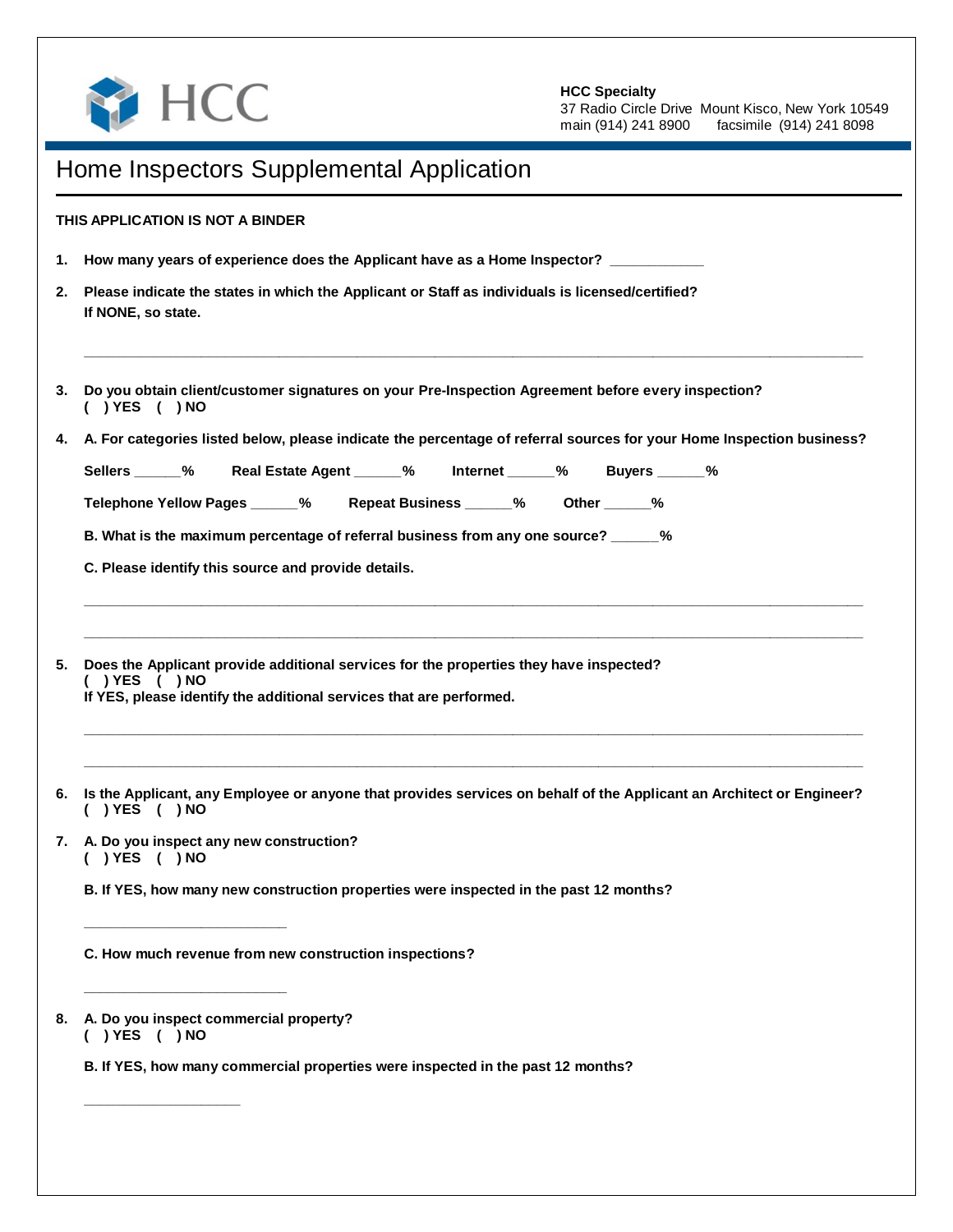

## **HCC Specialty**

37 Radio Circle Drive Mount Kisco, New York 10549<br>main (914) 241 8900 facsimile (914) 241 8098 facsimile (914) 241 8098

|    | Home Inspectors Supplemental Application                                                                                                   |  |  |  |
|----|--------------------------------------------------------------------------------------------------------------------------------------------|--|--|--|
|    | THIS APPLICATION IS NOT A BINDER                                                                                                           |  |  |  |
| 1. | How many years of experience does the Applicant have as a Home Inspector? __________                                                       |  |  |  |
| 2. | Please indicate the states in which the Applicant or Staff as individuals is licensed/certified?<br>If NONE, so state.                     |  |  |  |
| 3. | Do you obtain client/customer signatures on your Pre-Inspection Agreement before every inspection?<br>$( )$ YES $( )$ NO                   |  |  |  |
| 4. | A. For categories listed below, please indicate the percentage of referral sources for your Home Inspection business?                      |  |  |  |
|    | Sellers ______% Real Estate Agent ______% Internet ______% Buyers ______%                                                                  |  |  |  |
|    | Telephone Yellow Pages _____% Repeat Business _____% Other _____%                                                                          |  |  |  |
|    | B. What is the maximum percentage of referral business from any one source? _____%                                                         |  |  |  |
|    | C. Please identify this source and provide details.                                                                                        |  |  |  |
|    | If YES, please identify the additional services that are performed.                                                                        |  |  |  |
| 6. | Is the Applicant, any Employee or anyone that provides services on behalf of the Applicant an Architect or Engineer?<br>$( )$ YES $( )$ NO |  |  |  |
|    | 7. A. Do you inspect any new construction?<br>$( )$ YES $( )$ NO                                                                           |  |  |  |
|    | B. If YES, how many new construction properties were inspected in the past 12 months?                                                      |  |  |  |
|    | C. How much revenue from new construction inspections?                                                                                     |  |  |  |
|    | 8. A. Do you inspect commercial property?<br>$( )$ YES $( )$ NO                                                                            |  |  |  |
|    | B. If YES, how many commercial properties were inspected in the past 12 months?                                                            |  |  |  |
|    |                                                                                                                                            |  |  |  |
|    |                                                                                                                                            |  |  |  |